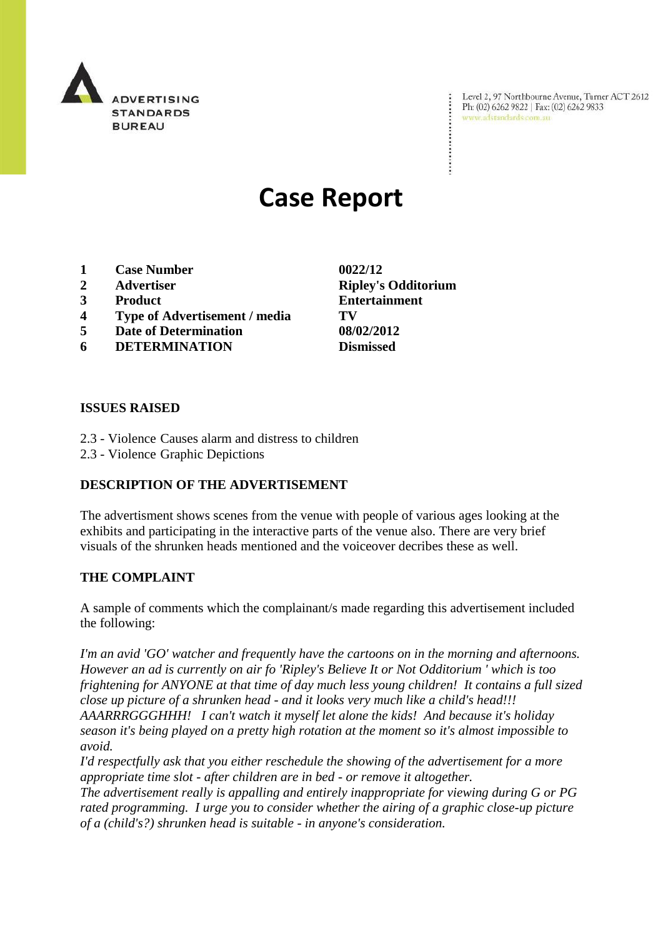

Level 2, 97 Northbourne Avenue, Turner ACT 2612 Level 2, 97 Northbourne Avenue, Turne<br>Ph: (02) 6262 9822 | Fax: (02) 6262 9833 www.adstandards.com.au

# **Case Report**

- **1 Case Number 0022/12**
- 
- 
- **4 Type of Advertisement / media TV**
- **5 Date of Determination 08/02/2012**
- **6 DETERMINATION Dismissed**

**ISSUES RAISED**

- 2.3 Violence Causes alarm and distress to children
- 2.3 Violence Graphic Depictions

## **DESCRIPTION OF THE ADVERTISEMENT**

The advertisment shows scenes from the venue with people of various ages looking at the exhibits and participating in the interactive parts of the venue also. There are very brief visuals of the shrunken heads mentioned and the voiceover decribes these as well.

## **THE COMPLAINT**

A sample of comments which the complainant/s made regarding this advertisement included the following:

*I'm an avid 'GO' watcher and frequently have the cartoons on in the morning and afternoons. However an ad is currently on air fo 'Ripley's Believe It or Not Odditorium ' which is too frightening for ANYONE at that time of day much less young children! It contains a full sized close up picture of a shrunken head - and it looks very much like a child's head!!! AAARRRGGGHHH! I can't watch it myself let alone the kids! And because it's holiday season it's being played on a pretty high rotation at the moment so it's almost impossible to avoid.*

*I'd respectfully ask that you either reschedule the showing of the advertisement for a more appropriate time slot - after children are in bed - or remove it altogether.*

*The advertisement really is appalling and entirely inappropriate for viewing during G or PG rated programming. I urge you to consider whether the airing of a graphic close-up picture of a (child's?) shrunken head is suitable - in anyone's consideration.* 

**2 Advertiser Ripley's Odditorium 3 Product Entertainment**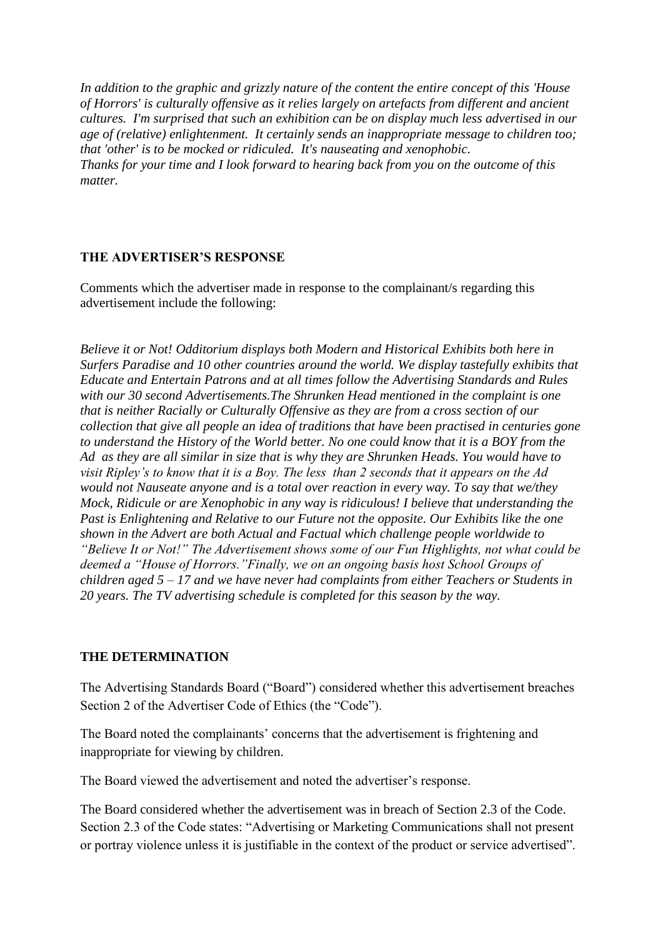*In addition to the graphic and grizzly nature of the content the entire concept of this 'House of Horrors' is culturally offensive as it relies largely on artefacts from different and ancient cultures. I'm surprised that such an exhibition can be on display much less advertised in our age of (relative) enlightenment. It certainly sends an inappropriate message to children too; that 'other' is to be mocked or ridiculed. It's nauseating and xenophobic. Thanks for your time and I look forward to hearing back from you on the outcome of this matter.*

#### **THE ADVERTISER'S RESPONSE**

Comments which the advertiser made in response to the complainant/s regarding this advertisement include the following:

*Believe it or Not! Odditorium displays both Modern and Historical Exhibits both here in Surfers Paradise and 10 other countries around the world. We display tastefully exhibits that Educate and Entertain Patrons and at all times follow the Advertising Standards and Rules with our 30 second Advertisements.The Shrunken Head mentioned in the complaint is one that is neither Racially or Culturally Offensive as they are from a cross section of our collection that give all people an idea of traditions that have been practised in centuries gone to understand the History of the World better. No one could know that it is a BOY from the Ad as they are all similar in size that is why they are Shrunken Heads. You would have to visit Ripley's to know that it is a Boy. The less than 2 seconds that it appears on the Ad would not Nauseate anyone and is a total over reaction in every way. To say that we/they Mock, Ridicule or are Xenophobic in any way is ridiculous! I believe that understanding the Past is Enlightening and Relative to our Future not the opposite. Our Exhibits like the one shown in the Advert are both Actual and Factual which challenge people worldwide to "Believe It or Not!" The Advertisement shows some of our Fun Highlights, not what could be deemed a "House of Horrors."Finally, we on an ongoing basis host School Groups of children aged 5 – 17 and we have never had complaints from either Teachers or Students in 20 years. The TV advertising schedule is completed for this season by the way.*

#### **THE DETERMINATION**

The Advertising Standards Board ("Board") considered whether this advertisement breaches Section 2 of the Advertiser Code of Ethics (the "Code").

The Board noted the complainants' concerns that the advertisement is frightening and inappropriate for viewing by children.

The Board viewed the advertisement and noted the advertiser's response.

The Board considered whether the advertisement was in breach of Section 2.3 of the Code. Section 2.3 of the Code states: "Advertising or Marketing Communications shall not present or portray violence unless it is justifiable in the context of the product or service advertised".